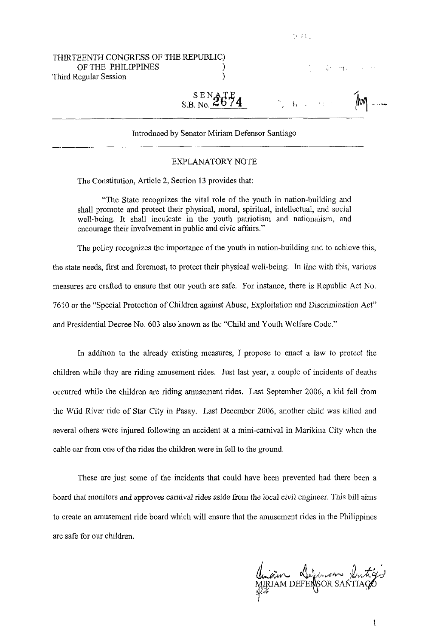| THIRTEENTH CONGRESS OF THE REPUBLIC)<br>OF THE PHILIPPINES<br>Third Regular Session |                                                | 1. 单一性。 化         |  |
|-------------------------------------------------------------------------------------|------------------------------------------------|-------------------|--|
|                                                                                     | $_{\text{S.B. No.}}^{\text{SENATE}}$           | MO AND CONTROL MO |  |
|                                                                                     | Introduced by Senator Miriam Defensor Santiago |                   |  |

 $\mathcal{A} \in \mathbb{R}^{N \times 1}$ 

# Introduced by Senator Miriam Defensor Santiago

### EXPLANATORY NOTE

The Constitution, Article 2, Section 13 provides that:

"The State recognizes the vital role of the youth in nation-building and shall promote and protect their physical, moral, spiritual, intellectual, and social well-being. It shall inculcate in the youth patriotism and nationalism, and encourage their involvement in public and civic affairs."

The policy recognizes the importance of the youth in nation-building and to achieve this, the state needs, first and foremost, to protect their physical well-being. In line with this, various measures are crafted to ensure that our youth are safe. For instance, there is Republic Act No. 7610 or the "Special Protection of Children against Abuse, Exploitation and Discrimination Act" and Presidential Decree No. 603 also known as the "Child and Youth Welfare Code."

In addition to the already existing measures, I propose to enact a law to protect the children while they are riding amusement rides. Just last year, a couple of incidents of deaths occurred while the children are riding amusement rides. Last September 2006, a kid fell from the Wild River ride of Star City in Pasay. Last December 2006, another child was killed and several others were injured following an accident at a mini-carnival in Marikina City when the cable car from one of the rides the children were in fell to the ground.

These are just some of the incidents that could have been prevented had there been a board that monitors and approves carnival rides aside from the local civil engineer. This bill aims to create an amusement ride board which will ensure that the amusement rides in the Philippines are safe for our children.

aw Sefensor Xn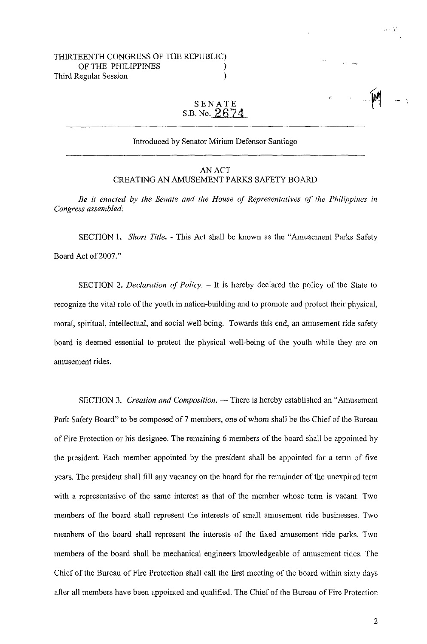## THIRTEENTH CONGRESS OF THE REPUBLIC) OF THE PHILIPPINES (1998) Third Regular Session )

# SENATE S.B.NO. **2G74**

### Introduced by Senator Miriam Defensor Santiago

### AN ACT CREATING AN AMUSEMENT PARKS SAFETY BOARD

*Be it enacted by the Senate and the House of Representatives of the Philippines in Congress assembled:* 

SECTION 1. *Short Title.* - This Act shall be known as the "Amusement Parks Safety Board Act of 2007."

SECTION 2. *Declaration of Policy.* – It is hereby declared the policy of the State to recognize the vital role of the youth in nation-building and to promote and protect their physical, moral, spiritual, intellectual, and social well-being. Towards this end, an amusement ride safety board is deemed essential to protect the physical well-being of the youth while they are on amusement rides.

SECTION 3. *Creation and Composition*. - There is hereby established an "Amusement Park Safety Board" to be composed of 7 members, one of whom shall be the Chief of the Bureau of Fire Protection or his designee. The remaining *6* members of the board shall be appointed by the president. Each member appointed by the president shall be appointed for a term of five years. The president shall fill any vacancy on the board for the remainder of the unexpired term with a representative of the same interest as that of the member whose term is vacant. Two members of the board shall represent the interests of small amusement ride businesses. Two members of the board shall represent the interests of the fixed amusement ride parks. Two members of the board shall be mechanical engineers knowledgeable of amusement rides. The Chief of the Bureau of Fire Protection shall call the first meeting of the board within sixty days after all members have been appointed and qualified. The Chief of the Bureau of Fire Protection

**Contract**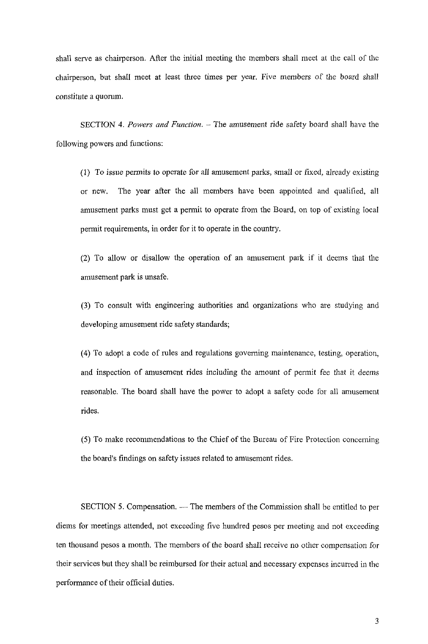shall serve as chairperson. After the initial meeting the members shall meet at the call of the chairperson, but shall meet at least three times per year. Five members of the board shall constitute a quorum.

SECTION **4.** *Powers and Function.* - The amusement ride safety board shall have the following powers and functions:

(1) To issue permits to operate for all amusement parks, small or fixed, already existing or new. The year after the all members have been appointed and qualified, all amusement parks must get a permit to operate from the Board, on top of existing local permit requirements, in order for it to operate in the country.

(2) To allow or disallow the operation of an amusement park if it deems that the amusement park is unsafe.

**(3)** To consult with engineering authorities and organizations who are studying and developing amusement ride safety standards;

(4) To adopt a code of rules and regulations governing maintenance, testing, operation, and inspection of amusement rides including the amount of permit fee that it deems reasonable. The board shall have the power to adopt a safety code for all amusement rides.

*(5)* To make recommendations to the Chief of the Bureau of Fire Protection concerning the board's findings on safety issues related to amusement rides.

SECTION 5. Compensation. - The members of the Commission shall be entitled to per diems for meetings attended, not exceeding five hundred pesos per meeting and not exceeding ten thousand pesos a month. The members of the board shall receive no other compensation for their services but they shall be reimbursed for their actual and necessary expenses incurred in the performance of their official duties.